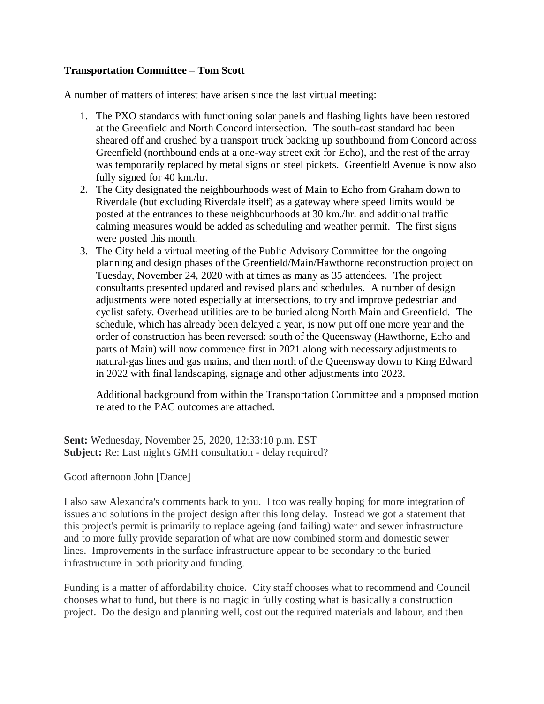## **Transportation Committee – Tom Scott**

A number of matters of interest have arisen since the last virtual meeting:

- 1. The PXO standards with functioning solar panels and flashing lights have been restored at the Greenfield and North Concord intersection. The south-east standard had been sheared off and crushed by a transport truck backing up southbound from Concord across Greenfield (northbound ends at a one-way street exit for Echo), and the rest of the array was temporarily replaced by metal signs on steel pickets. Greenfield Avenue is now also fully signed for 40 km./hr.
- 2. The City designated the neighbourhoods west of Main to Echo from Graham down to Riverdale (but excluding Riverdale itself) as a gateway where speed limits would be posted at the entrances to these neighbourhoods at 30 km./hr. and additional traffic calming measures would be added as scheduling and weather permit. The first signs were posted this month.
- 3. The City held a virtual meeting of the Public Advisory Committee for the ongoing planning and design phases of the Greenfield/Main/Hawthorne reconstruction project on Tuesday, November 24, 2020 with at times as many as 35 attendees. The project consultants presented updated and revised plans and schedules. A number of design adjustments were noted especially at intersections, to try and improve pedestrian and cyclist safety. Overhead utilities are to be buried along North Main and Greenfield. The schedule, which has already been delayed a year, is now put off one more year and the order of construction has been reversed: south of the Queensway (Hawthorne, Echo and parts of Main) will now commence first in 2021 along with necessary adjustments to natural-gas lines and gas mains, and then north of the Queensway down to King Edward in 2022 with final landscaping, signage and other adjustments into 2023.

Additional background from within the Transportation Committee and a proposed motion related to the PAC outcomes are attached.

**Sent:** Wednesday, November 25, 2020, 12:33:10 p.m. EST **Subject:** Re: Last night's GMH consultation - delay required?

## Good afternoon John [Dance]

I also saw Alexandra's comments back to you. I too was really hoping for more integration of issues and solutions in the project design after this long delay. Instead we got a statement that this project's permit is primarily to replace ageing (and failing) water and sewer infrastructure and to more fully provide separation of what are now combined storm and domestic sewer lines. Improvements in the surface infrastructure appear to be secondary to the buried infrastructure in both priority and funding.

Funding is a matter of affordability choice. City staff chooses what to recommend and Council chooses what to fund, but there is no magic in fully costing what is basically a construction project. Do the design and planning well, cost out the required materials and labour, and then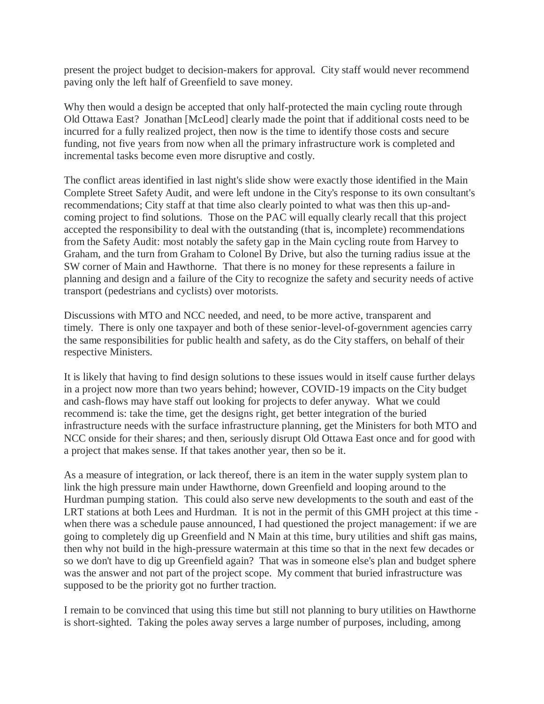present the project budget to decision-makers for approval. City staff would never recommend paving only the left half of Greenfield to save money.

Why then would a design be accepted that only half-protected the main cycling route through Old Ottawa East? Jonathan [McLeod] clearly made the point that if additional costs need to be incurred for a fully realized project, then now is the time to identify those costs and secure funding, not five years from now when all the primary infrastructure work is completed and incremental tasks become even more disruptive and costly.

The conflict areas identified in last night's slide show were exactly those identified in the Main Complete Street Safety Audit, and were left undone in the City's response to its own consultant's recommendations; City staff at that time also clearly pointed to what was then this up-andcoming project to find solutions. Those on the PAC will equally clearly recall that this project accepted the responsibility to deal with the outstanding (that is, incomplete) recommendations from the Safety Audit: most notably the safety gap in the Main cycling route from Harvey to Graham, and the turn from Graham to Colonel By Drive, but also the turning radius issue at the SW corner of Main and Hawthorne. That there is no money for these represents a failure in planning and design and a failure of the City to recognize the safety and security needs of active transport (pedestrians and cyclists) over motorists.

Discussions with MTO and NCC needed, and need, to be more active, transparent and timely. There is only one taxpayer and both of these senior-level-of-government agencies carry the same responsibilities for public health and safety, as do the City staffers, on behalf of their respective Ministers.

It is likely that having to find design solutions to these issues would in itself cause further delays in a project now more than two years behind; however, COVID-19 impacts on the City budget and cash-flows may have staff out looking for projects to defer anyway. What we could recommend is: take the time, get the designs right, get better integration of the buried infrastructure needs with the surface infrastructure planning, get the Ministers for both MTO and NCC onside for their shares; and then, seriously disrupt Old Ottawa East once and for good with a project that makes sense. If that takes another year, then so be it.

As a measure of integration, or lack thereof, there is an item in the water supply system plan to link the high pressure main under Hawthorne, down Greenfield and looping around to the Hurdman pumping station. This could also serve new developments to the south and east of the LRT stations at both Lees and Hurdman. It is not in the permit of this GMH project at this time when there was a schedule pause announced, I had questioned the project management: if we are going to completely dig up Greenfield and N Main at this time, bury utilities and shift gas mains, then why not build in the high-pressure watermain at this time so that in the next few decades or so we don't have to dig up Greenfield again? That was in someone else's plan and budget sphere was the answer and not part of the project scope. My comment that buried infrastructure was supposed to be the priority got no further traction.

I remain to be convinced that using this time but still not planning to bury utilities on Hawthorne is short-sighted. Taking the poles away serves a large number of purposes, including, among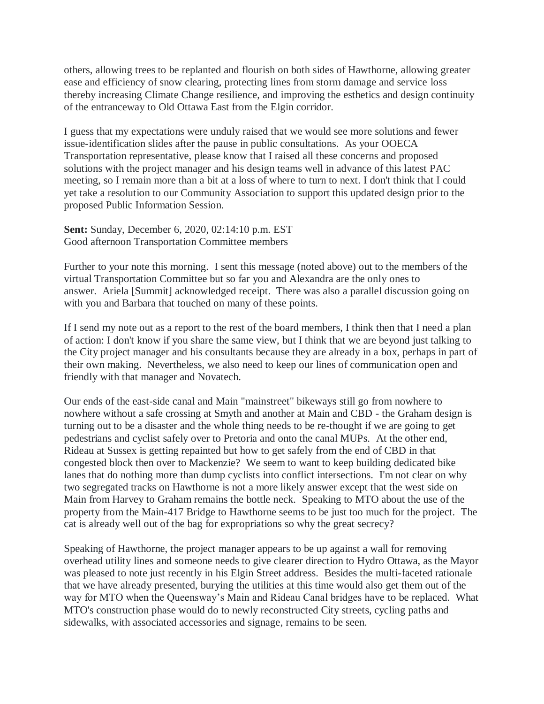others, allowing trees to be replanted and flourish on both sides of Hawthorne, allowing greater ease and efficiency of snow clearing, protecting lines from storm damage and service loss thereby increasing Climate Change resilience, and improving the esthetics and design continuity of the entranceway to Old Ottawa East from the Elgin corridor.

I guess that my expectations were unduly raised that we would see more solutions and fewer issue-identification slides after the pause in public consultations. As your OOECA Transportation representative, please know that I raised all these concerns and proposed solutions with the project manager and his design teams well in advance of this latest PAC meeting, so I remain more than a bit at a loss of where to turn to next. I don't think that I could yet take a resolution to our Community Association to support this updated design prior to the proposed Public Information Session.

**Sent:** Sunday, December 6, 2020, 02:14:10 p.m. EST Good afternoon Transportation Committee members

Further to your note this morning. I sent this message (noted above) out to the members of the virtual Transportation Committee but so far you and Alexandra are the only ones to answer. Ariela [Summit] acknowledged receipt. There was also a parallel discussion going on with you and Barbara that touched on many of these points.

If I send my note out as a report to the rest of the board members, I think then that I need a plan of action: I don't know if you share the same view, but I think that we are beyond just talking to the City project manager and his consultants because they are already in a box, perhaps in part of their own making. Nevertheless, we also need to keep our lines of communication open and friendly with that manager and Novatech.

Our ends of the east-side canal and Main "mainstreet" bikeways still go from nowhere to nowhere without a safe crossing at Smyth and another at Main and CBD - the Graham design is turning out to be a disaster and the whole thing needs to be re-thought if we are going to get pedestrians and cyclist safely over to Pretoria and onto the canal MUPs. At the other end, Rideau at Sussex is getting repainted but how to get safely from the end of CBD in that congested block then over to Mackenzie? We seem to want to keep building dedicated bike lanes that do nothing more than dump cyclists into conflict intersections. I'm not clear on why two segregated tracks on Hawthorne is not a more likely answer except that the west side on Main from Harvey to Graham remains the bottle neck. Speaking to MTO about the use of the property from the Main-417 Bridge to Hawthorne seems to be just too much for the project. The cat is already well out of the bag for expropriations so why the great secrecy?

Speaking of Hawthorne, the project manager appears to be up against a wall for removing overhead utility lines and someone needs to give clearer direction to Hydro Ottawa, as the Mayor was pleased to note just recently in his Elgin Street address. Besides the multi-faceted rationale that we have already presented, burying the utilities at this time would also get them out of the way for MTO when the Queensway's Main and Rideau Canal bridges have to be replaced. What MTO's construction phase would do to newly reconstructed City streets, cycling paths and sidewalks, with associated accessories and signage, remains to be seen.